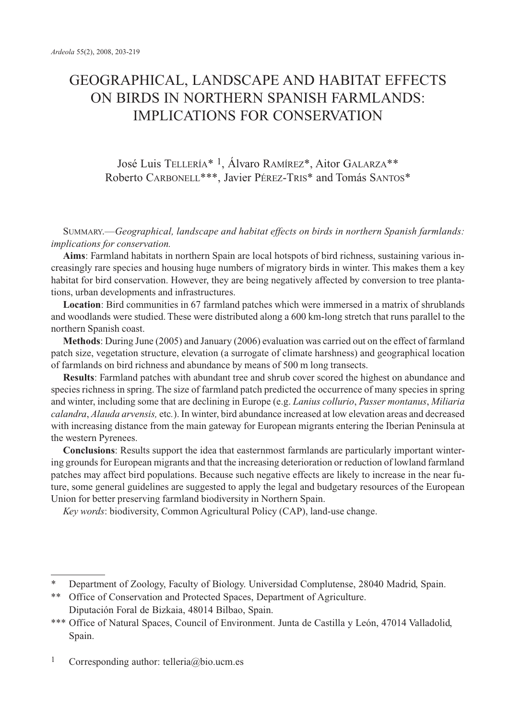# GEOGRAPHICAL, LANDSCAPE AND HABITAT EFFECTS ON BIRDS IN NORTHERN SPANISH FARMLANDS: IMPLICATIONS FOR CONSERVATION

José Luis TELLERÍA\* 1, Álvaro RAMÍREZ\*, Aitor GALARZA\*\* Roberto CARBONELL\*\*\*, Javier PÉREZ-TRIS\* and Tomás SANTOS\*

SUMMARY.—*Geographical, landscape and habitat effects on birds in northern Spanish farmlands: implications for conservation.*

**Aims**: Farmland habitats in northern Spain are local hotspots of bird richness, sustaining various increasingly rare species and housing huge numbers of migratory birds in winter. This makes them a key habitat for bird conservation. However, they are being negatively affected by conversion to tree plantations, urban developments and infrastructures.

**Location**: Bird communities in 67 farmland patches which were immersed in a matrix of shrublands and woodlands were studied. These were distributed along a 600 km-long stretch that runs parallel to the northern Spanish coast.

**Methods**: During June (2005) and January (2006) evaluation was carried out on the effect of farmland patch size, vegetation structure, elevation (a surrogate of climate harshness) and geographical location of farmlands on bird richness and abundance by means of 500 m long transects.

**Results**: Farmland patches with abundant tree and shrub cover scored the highest on abundance and species richness in spring. The size of farmland patch predicted the occurrence of many species in spring and winter, including some that are declining in Europe (e.g. *Lanius collurio*, *Passer montanus*, *Miliaria calandra*, *Alauda arvensis,* etc*.*). In winter, bird abundance increased at low elevation areas and decreased with increasing distance from the main gateway for European migrants entering the Iberian Peninsula at the western Pyrenees.

**Conclusions**: Results support the idea that easternmost farmlands are particularly important wintering grounds for European migrants and that the increasing deterioration or reduction of lowland farmland patches may affect bird populations. Because such negative effects are likely to increase in the near future, some general guidelines are suggested to apply the legal and budgetary resources of the European Union for better preserving farmland biodiversity in Northern Spain.

*Key words*: biodiversity, Common Agricultural Policy (CAP), land-use change.

Department of Zoology, Faculty of Biology. Universidad Complutense, 28040 Madrid, Spain.

<sup>\*\*</sup> Office of Conservation and Protected Spaces, Department of Agriculture. Diputación Foral de Bizkaia, 48014 Bilbao, Spain.

<sup>\*\*\*</sup> Office of Natural Spaces, Council of Environment. Junta de Castilla y León, 47014 Valladolid, Spain.

<sup>1</sup> Corresponding author: telleria@bio.ucm.es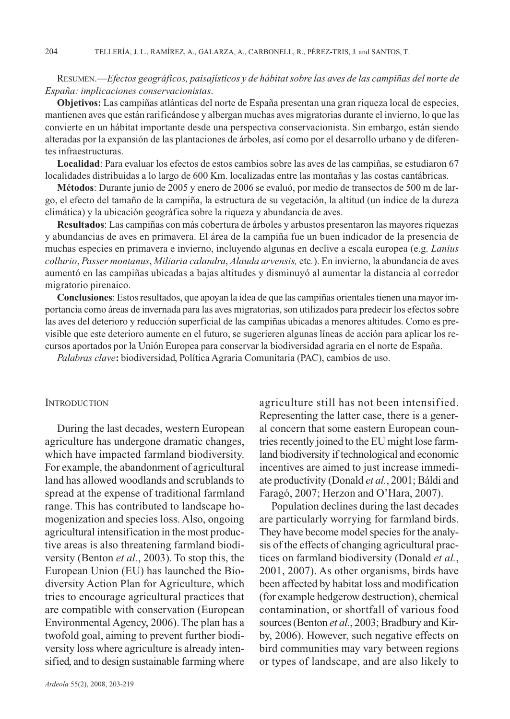# RESUMEN.—*Efectos geográficos, paisajísticos y de hábitat sobre las aves de las campiñas del norte de España: implicaciones conservacionistas*.

**Objetivos:** Las campiñas atlánticas del norte de España presentan una gran riqueza local de especies, mantienen aves que están rarificándose y albergan muchas aves migratorias durante el invierno, lo que las convierte en un hábitat importante desde una perspectiva conservacionista. Sin embargo, están siendo alteradas por la expansión de las plantaciones de árboles, así como por el desarrollo urbano y de diferentes infraestructuras.

**Localidad**: Para evaluar los efectos de estos cambios sobre las aves de las campiñas, se estudiaron 67 localidades distribuidas a lo largo de 600 Km. localizadas entre las montañas y las costas cantábricas.

**Métodos**: Durante junio de 2005 y enero de 2006 se evaluó, por medio de transectos de 500 m de largo, el efecto del tamaño de la campiña, la estructura de su vegetación, la altitud (un índice de la dureza climática) y la ubicación geográfica sobre la riqueza y abundancia de aves.

**Resultados**: Las campiñas con más cobertura de árboles y arbustos presentaron las mayores riquezas y abundancias de aves en primavera. El área de la campiña fue un buen indicador de la presencia de muchas especies en primavera e invierno, incluyendo algunas en declive a escala europea (e.g. *Lanius collurio*, *Passer montanus*, *Miliaria calandra*, *Alauda arvensis,* etc*.*). En invierno, la abundancia de aves aumentó en las campiñas ubicadas a bajas altitudes y disminuyó al aumentar la distancia al corredor migratorio pirenaico.

**Conclusiones**: Estos resultados, que apoyan la idea de que las campiñas orientales tienen una mayor importancia como áreas de invernada para las aves migratorias, son utilizados para predecir los efectos sobre las aves del deterioro y reducción superficial de las campiñas ubicadas a menores altitudes. Como es previsible que este deterioro aumente en el futuro, se sugerieren algunas líneas de acción para aplicar los recursos aportados por la Unión Europea para conservar la biodiversidad agraria en el norte de España.

*Palabras clave***:** biodiversidad, Política Agraria Comunitaria (PAC), cambios de uso.

## **INTRODUCTION**

During the last decades, western European agriculture has undergone dramatic changes, which have impacted farmland biodiversity. For example, the abandonment of agricultural land has allowed woodlands and scrublands to spread at the expense of traditional farmland range. This has contributed to landscape homogenization and species loss. Also, ongoing agricultural intensification in the most productive areas is also threatening farmland biodiversity (Benton *et al.*, 2003). To stop this, the European Union (EU) has launched the Biodiversity Action Plan for Agriculture, which tries to encourage agricultural practices that are compatible with conservation (European Environmental Agency, 2006). The plan has a twofold goal, aiming to prevent further biodiversity loss where agriculture is already intensified, and to design sustainable farming where

agriculture still has not been intensified. Representing the latter case, there is a general concern that some eastern European countries recently joined to the EU might lose farmland biodiversity if technological and economic incentives are aimed to just increase immediate productivity (Donald *et al.*, 2001; Báldi and Faragó, 2007; Herzon and O'Hara, 2007).

Population declines during the last decades are particularly worrying for farmland birds. They have become model species for the analysis of the effects of changing agricultural practices on farmland biodiversity (Donald *et al.*, 2001, 2007). As other organisms, birds have been affected by habitat loss and modification (for example hedgerow destruction), chemical contamination, or shortfall of various food sources (Benton *et al.*, 2003; Bradbury and Kirby, 2006). However, such negative effects on bird communities may vary between regions or types of landscape, and are also likely to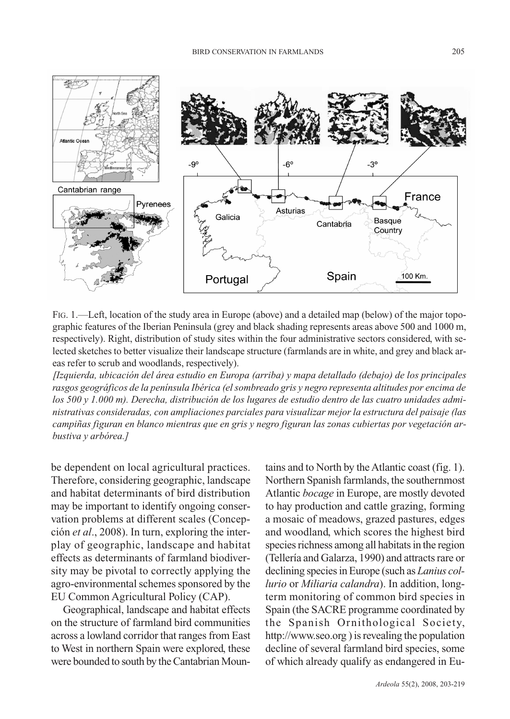

FIG. 1.—Left, location of the study area in Europe (above) and a detailed map (below) of the major topographic features of the Iberian Peninsula (grey and black shading represents areas above 500 and 1000 m, respectively). Right, distribution of study sites within the four administrative sectors considered, with selected sketches to better visualize their landscape structure (farmlands are in white, and grey and black areas refer to scrub and woodlands, respectively).

*[Izquierda, ubicación del área estudio en Europa (arriba) y mapa detallado (debajo) de los principales rasgos geográficos de la península Ibérica (el sombreado gris y negro representa altitudes por encima de los 500 y 1.000 m). Derecha, distribución de los lugares de estudio dentro de las cuatro unidades administrativas consideradas, con ampliaciones parciales para visualizar mejor la estructura del paisaje (las campiñas figuran en blanco mientras que en gris y negro figuran las zonas cubiertas por vegetación arbustiva y arbórea.]*

be dependent on local agricultural practices. Therefore, considering geographic, landscape and habitat determinants of bird distribution may be important to identify ongoing conservation problems at different scales (Concepción *et al*., 2008). In turn, exploring the interplay of geographic, landscape and habitat effects as determinants of farmland biodiversity may be pivotal to correctly applying the agro-environmental schemes sponsored by the EU Common Agricultural Policy (CAP).

Geographical, landscape and habitat effects on the structure of farmland bird communities across a lowland corridor that ranges from East to West in northern Spain were explored, these were bounded to south by the Cantabrian Mountains and to North by the Atlantic coast (fig. 1). Northern Spanish farmlands, the southernmost Atlantic *bocage* in Europe, are mostly devoted to hay production and cattle grazing, forming a mosaic of meadows, grazed pastures, edges and woodland, which scores the highest bird species richness among all habitats in the region (Tellería and Galarza, 1990) and attracts rare or declining species in Europe (such as *Lanius collurio* or *Miliaria calandra*). In addition, longterm monitoring of common bird species in Spain (the SACRE programme coordinated by the Spanish Ornithological Society, http://www.seo.org) is revealing the population decline of several farmland bird species, some of which already qualify as endangered in Eu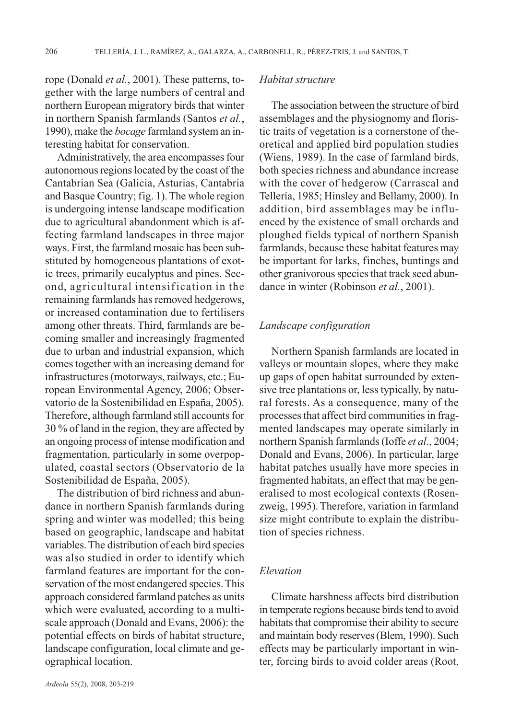rope (Donald *et al.*, 2001). These patterns, together with the large numbers of central and northern European migratory birds that winter in northern Spanish farmlands (Santos *et al.*, 1990), make the *bocage* farmland system an interesting habitat for conservation.

Administratively, the area encompasses four autonomous regions located by the coast of the Cantabrian Sea (Galicia, Asturias, Cantabria and Basque Country; fig. 1). The whole region is undergoing intense landscape modification due to agricultural abandonment which is affecting farmland landscapes in three major ways. First, the farmland mosaic has been substituted by homogeneous plantations of exotic trees, primarily eucalyptus and pines. Second, agricultural intensification in the remaining farmlands has removed hedgerows, or increased contamination due to fertilisers among other threats. Third, farmlands are becoming smaller and increasingly fragmented due to urban and industrial expansion, which comes together with an increasing demand for infrastructures (motorways, railways, etc.; European Environmental Agency, 2006; Observatorio de la Sostenibilidad en España, 2005). Therefore, although farmland still accounts for 30 % of land in the region, they are affected by an ongoing process of intense modification and fragmentation, particularly in some overpopulated, coastal sectors (Observatorio de la Sostenibilidad de España, 2005).

The distribution of bird richness and abundance in northern Spanish farmlands during spring and winter was modelled; this being based on geographic, landscape and habitat variables. The distribution of each bird species was also studied in order to identify which farmland features are important for the conservation of the most endangered species. This approach considered farmland patches as units which were evaluated, according to a multiscale approach (Donald and Evans, 2006): the potential effects on birds of habitat structure, landscape configuration, local climate and geographical location.

#### *Habitat structure*

The association between the structure of bird assemblages and the physiognomy and floristic traits of vegetation is a cornerstone of theoretical and applied bird population studies (Wiens, 1989). In the case of farmland birds, both species richness and abundance increase with the cover of hedgerow (Carrascal and Tellería, 1985; Hinsley and Bellamy, 2000). In addition, bird assemblages may be influenced by the existence of small orchards and ploughed fields typical of northern Spanish farmlands, because these habitat features may be important for larks, finches, buntings and other granivorous species that track seed abundance in winter (Robinson *et al.*, 2001).

## *Landscape configuration*

Northern Spanish farmlands are located in valleys or mountain slopes, where they make up gaps of open habitat surrounded by extensive tree plantations or, less typically, by natural forests. As a consequence, many of the processes that affect bird communities in fragmented landscapes may operate similarly in northern Spanish farmlands (Ioffe *et al*., 2004; Donald and Evans, 2006). In particular, large habitat patches usually have more species in fragmented habitats, an effect that may be generalised to most ecological contexts (Rosenzweig, 1995). Therefore, variation in farmland size might contribute to explain the distribution of species richness.

# *Elevation*

Climate harshness affects bird distribution in temperate regions because birds tend to avoid habitats that compromise their ability to secure and maintain body reserves (Blem, 1990). Such effects may be particularly important in winter, forcing birds to avoid colder areas (Root,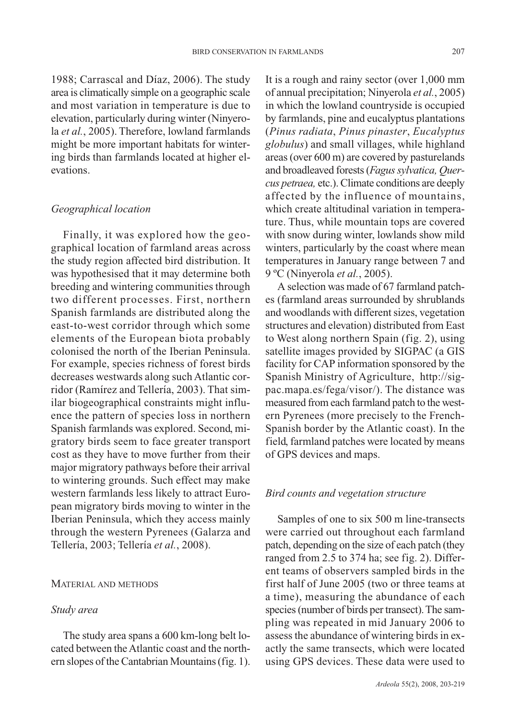1988; Carrascal and Díaz, 2006). The study area is climatically simple on a geographic scale and most variation in temperature is due to elevation, particularly during winter (Ninyerola *et al.*, 2005). Therefore, lowland farmlands might be more important habitats for wintering birds than farmlands located at higher elevations.

# *Geographical location*

Finally, it was explored how the geographical location of farmland areas across the study region affected bird distribution. It was hypothesised that it may determine both breeding and wintering communities through two different processes. First, northern Spanish farmlands are distributed along the east-to-west corridor through which some elements of the European biota probably colonised the north of the Iberian Peninsula. For example, species richness of forest birds decreases westwards along such Atlantic corridor (Ramírez and Tellería, 2003). That similar biogeographical constraints might influence the pattern of species loss in northern Spanish farmlands was explored. Second, migratory birds seem to face greater transport cost as they have to move further from their major migratory pathways before their arrival to wintering grounds. Such effect may make western farmlands less likely to attract European migratory birds moving to winter in the Iberian Peninsula, which they access mainly through the western Pyrenees (Galarza and Tellería, 2003; Tellería *et al.*, 2008).

#### MATERIAL AND METHODS

## *Study area*

The study area spans a 600 km-long belt located between the Atlantic coast and the northern slopes of the Cantabrian Mountains (fig. 1). It is a rough and rainy sector (over 1,000 mm of annual precipitation; Ninyerola *et al.*, 2005) in which the lowland countryside is occupied by farmlands, pine and eucalyptus plantations (*Pinus radiata*, *Pinus pinaster*, *Eucalyptus globulus*) and small villages, while highland areas (over 600 m) are covered by pasturelands and broadleaved forests (*Fagus sylvatica, Quercus petraea,* etc.). Climate conditions are deeply affected by the influence of mountains, which create altitudinal variation in temperature. Thus, while mountain tops are covered with snow during winter, lowlands show mild winters, particularly by the coast where mean temperatures in January range between 7 and 9 ºC (Ninyerola *et al.*, 2005).

A selection was made of 67 farmland patches (farmland areas surrounded by shrublands and woodlands with different sizes, vegetation structures and elevation) distributed from East to West along northern Spain (fig. 2), using satellite images provided by SIGPAC (a GIS facility for CAP information sponsored by the Spanish Ministry of Agriculture, http://sigpac.mapa.es/fega/visor/). The distance was measured from each farmland patch to the western Pyrenees (more precisely to the French-Spanish border by the Atlantic coast). In the field, farmland patches were located by means of GPS devices and maps.

# *Bird counts and vegetation structure*

Samples of one to six 500 m line-transects were carried out throughout each farmland patch, depending on the size of each patch (they ranged from 2.5 to 374 ha; see fig. 2). Different teams of observers sampled birds in the first half of June 2005 (two or three teams at a time), measuring the abundance of each species (number of birds per transect). The sampling was repeated in mid January 2006 to assess the abundance of wintering birds in exactly the same transects, which were located using GPS devices. These data were used to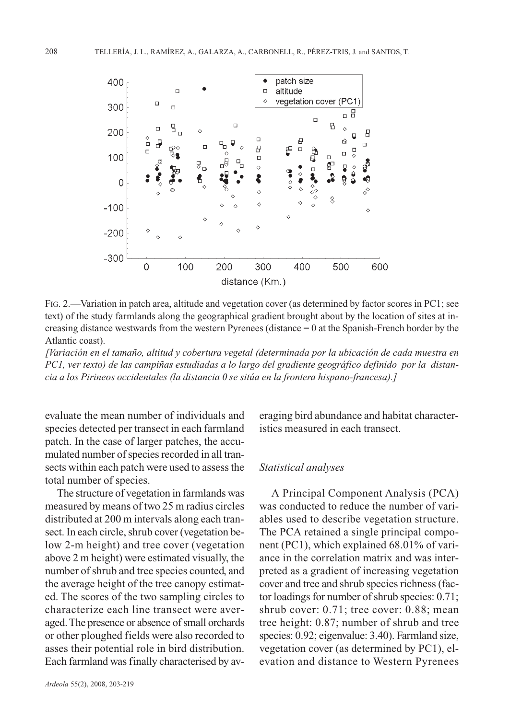

FIG. 2.—Variation in patch area, altitude and vegetation cover (as determined by factor scores in PC1; see text) of the study farmlands along the geographical gradient brought about by the location of sites at increasing distance westwards from the western Pyrenees (distance = 0 at the Spanish-French border by the Atlantic coast).

*[Variación en el tamaño, altitud y cobertura vegetal (determinada por la ubicación de cada muestra en PC1, ver texto) de las campiñas estudiadas a lo largo del gradiente geográfico definido por la distancia a los Pirineos occidentales (la distancia 0 se sitúa en la frontera hispano-francesa).]*

evaluate the mean number of individuals and species detected per transect in each farmland patch. In the case of larger patches, the accumulated number of species recorded in all transects within each patch were used to assess the total number of species.

The structure of vegetation in farmlands was measured by means of two 25 m radius circles distributed at 200 m intervals along each transect. In each circle, shrub cover (vegetation below 2-m height) and tree cover (vegetation above 2 m height) were estimated visually, the number of shrub and tree species counted, and the average height of the tree canopy estimated. The scores of the two sampling circles to characterize each line transect were averaged. The presence or absence of small orchards or other ploughed fields were also recorded to asses their potential role in bird distribution. Each farmland was finally characterised by averaging bird abundance and habitat characteristics measured in each transect.

## *Statistical analyses*

A Principal Component Analysis (PCA) was conducted to reduce the number of variables used to describe vegetation structure. The PCA retained a single principal component (PC1), which explained 68.01% of variance in the correlation matrix and was interpreted as a gradient of increasing vegetation cover and tree and shrub species richness (factor loadings for number of shrub species: 0.71; shrub cover: 0.71; tree cover: 0.88; mean tree height: 0.87; number of shrub and tree species: 0.92; eigenvalue: 3.40). Farmland size, vegetation cover (as determined by PC1), elevation and distance to Western Pyrenees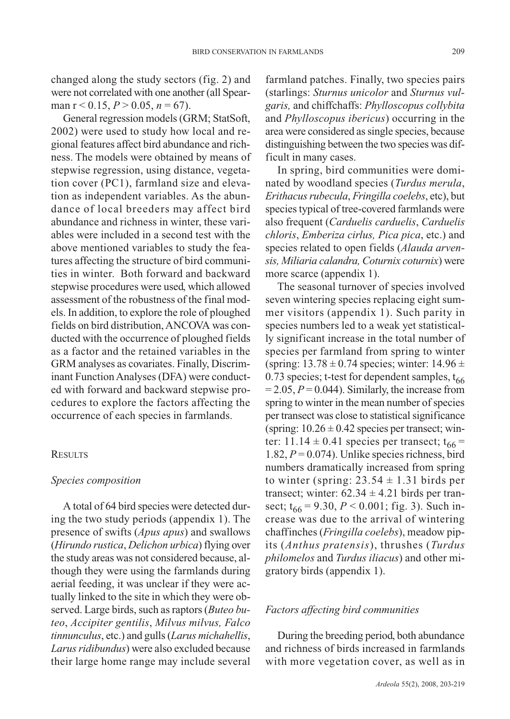changed along the study sectors (fig. 2) and were not correlated with one another (all Spearman  $r < 0.15$ ,  $P > 0.05$ ,  $n = 67$ ).

General regression models (GRM; StatSoft, 2002) were used to study how local and regional features affect bird abundance and richness. The models were obtained by means of stepwise regression, using distance, vegetation cover (PC1), farmland size and elevation as independent variables. As the abundance of local breeders may affect bird abundance and richness in winter, these variables were included in a second test with the above mentioned variables to study the features affecting the structure of bird communities in winter. Both forward and backward stepwise procedures were used, which allowed assessment of the robustness of the final models. In addition, to explore the role of ploughed fields on bird distribution, ANCOVA was conducted with the occurrence of ploughed fields as a factor and the retained variables in the GRM analyses as covariates. Finally, Discriminant Function Analyses (DFA) were conducted with forward and backward stepwise procedures to explore the factors affecting the occurrence of each species in farmlands.

#### **RESULTS**

#### *Species composition*

A total of 64 bird species were detected during the two study periods (appendix 1). The presence of swifts (*Apus apus*) and swallows (*Hirundo rustica*, *Delichon urbica*) flying over the study areas was not considered because, although they were using the farmlands during aerial feeding, it was unclear if they were actually linked to the site in which they were observed. Large birds, such as raptors (*Buteo buteo*, *Accipiter gentilis*, *Milvus milvus, Falco tinnunculus*, etc.) and gulls (*Larus michahellis*, *Larus ridibundus*) were also excluded because their large home range may include several farmland patches. Finally, two species pairs (starlings: *Sturnus unicolor* and *Sturnus vulgaris,* and chiffchaffs: *Phylloscopus collybita* and *Phylloscopus ibericus*) occurring in the area were considered as single species, because distinguishing between the two species was difficult in many cases.

In spring, bird communities were dominated by woodland species (*Turdus merula*, *Erithacus rubecula*, *Fringilla coelebs*, etc), but species typical of tree-covered farmlands were also frequent (*Carduelis carduelis*, *Carduelis chloris*, *Emberiza cirlus, Pica pica*, etc.) and species related to open fields (*Alauda arvensis, Miliaria calandra, Coturnix coturnix*) were more scarce (appendix 1).

The seasonal turnover of species involved seven wintering species replacing eight summer visitors (appendix 1). Such parity in species numbers led to a weak yet statistically significant increase in the total number of species per farmland from spring to winter (spring:  $13.78 \pm 0.74$  species; winter:  $14.96 \pm 1.76$ 0.73 species; t-test for dependent samples,  $t_{66}$  $= 2.05, P = 0.044$ ). Similarly, the increase from spring to winter in the mean number of species per transect was close to statistical significance (spring:  $10.26 \pm 0.42$  species per transect; winter: 11.14  $\pm$  0.41 species per transect;  $t_{66}$  = 1.82,  $P = 0.074$ ). Unlike species richness, bird numbers dramatically increased from spring to winter (spring:  $23.54 \pm 1.31$  birds per transect; winter:  $62.34 \pm 4.21$  birds per transect;  $t_{66} = 9.30, P < 0.001$ ; fig. 3). Such increase was due to the arrival of wintering chaffinches (*Fringilla coelebs*), meadow pipits (*Anthus pratensis*), thrushes (*Turdus philomelos* and *Turdus iliacus*) and other migratory birds (appendix 1).

## *Factors affecting bird communities*

During the breeding period, both abundance and richness of birds increased in farmlands with more vegetation cover, as well as in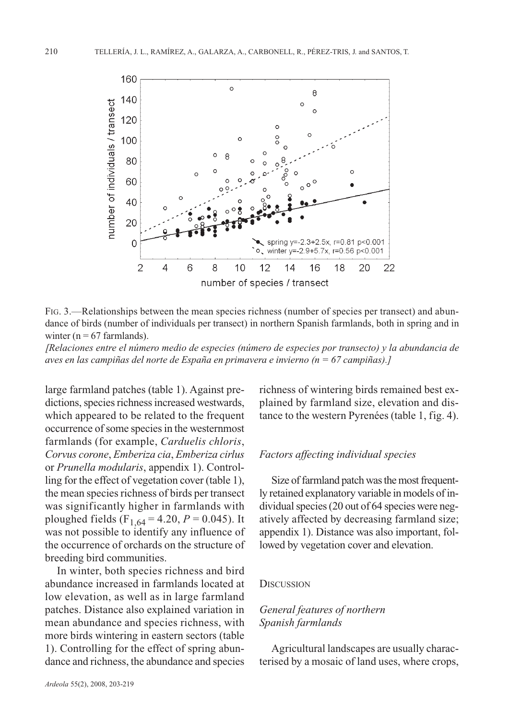

FIG. 3.—Relationships between the mean species richness (number of species per transect) and abundance of birds (number of individuals per transect) in northern Spanish farmlands, both in spring and in winter ( $n = 67$  farmlands).

*[Relaciones entre el número medio de especies (número de especies por transecto) y la abundancia de aves en las campiñas del norte de España en primavera e invierno (n = 67 campiñas).]*

large farmland patches (table 1). Against predictions, species richness increased westwards, which appeared to be related to the frequent occurrence of some species in the westernmost farmlands (for example, *Carduelis chloris*, *Corvus corone*, *Emberiza cia*, *Emberiza cirlus* or *Prunella modularis*, appendix 1). Controlling for the effect of vegetation cover (table 1), the mean species richness of birds per transect was significantly higher in farmlands with ploughed fields (F<sub>1,64</sub> = 4.20, *P* = 0.045). It was not possible to identify any influence of the occurrence of orchards on the structure of breeding bird communities.

In winter, both species richness and bird abundance increased in farmlands located at low elevation, as well as in large farmland patches. Distance also explained variation in mean abundance and species richness, with more birds wintering in eastern sectors (table 1). Controlling for the effect of spring abundance and richness, the abundance and species

*Ardeola* 55(2), 2008, 203-219

richness of wintering birds remained best explained by farmland size, elevation and distance to the western Pyrenées (table 1, fig. 4).

## *Factors affecting individual species*

Size of farmland patch was the most frequently retained explanatory variable in models of individual species (20 out of 64 species were negatively affected by decreasing farmland size; appendix 1). Distance was also important, followed by vegetation cover and elevation.

#### **DISCUSSION**

# *General features of northern Spanish farmlands*

Agricultural landscapes are usually characterised by a mosaic of land uses, where crops,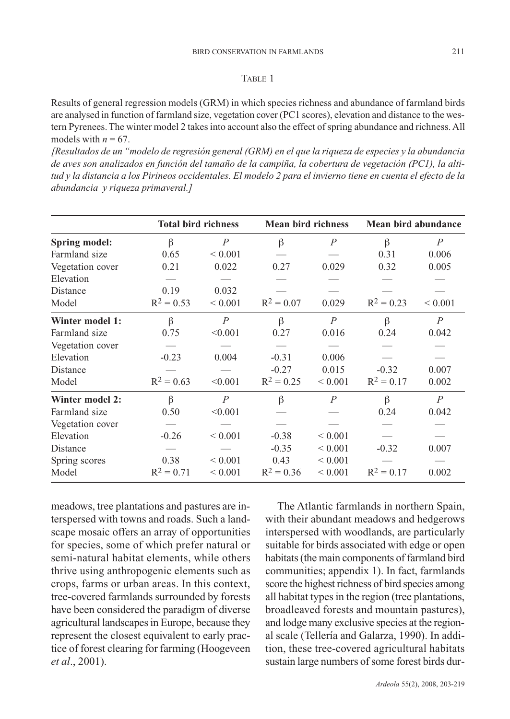#### TABLE 1

Results of general regression models (GRM) in which species richness and abundance of farmland birds are analysed in function of farmland size, vegetation cover (PC1 scores), elevation and distance to the western Pyrenees. The winter model 2 takes into account also the effect of spring abundance and richness. All models with  $n = 67$ .

*[Resultados de un "modelo de regresión general (GRM) en el que la riqueza de especies y la abundancia de aves son analizados en función del tamaño de la campiña, la cobertura de vegetación (PC1), la altitud y la distancia a los Pirineos occidentales. El modelo 2 para el invierno tiene en cuenta el efecto de la abundancia y riqueza primaveral.]*

|                        | <b>Total bird richness</b> |                | <b>Mean bird richness</b> |                | Mean bird abundance |                  |
|------------------------|----------------------------|----------------|---------------------------|----------------|---------------------|------------------|
| Spring model:          | $\beta$                    | $\overline{P}$ | $\beta$                   | $\overline{P}$ | β                   | $\boldsymbol{P}$ |
| Farmland size          | 0.65                       | ${}< 0.001$    |                           |                | 0.31                | 0.006            |
| Vegetation cover       | 0.21                       | 0.022          | 0.27                      | 0.029          | 0.32                | 0.005            |
| Elevation              |                            |                |                           |                |                     |                  |
| Distance               | 0.19                       | 0.032          |                           |                |                     |                  |
| Model                  | $R^2 = 0.53$               | ${}< 0.001$    | $R^2 = 0.07$              | 0.029          | $R^2 = 0.23$        | ${}< 0.001$      |
| Winter model 1:        | $\beta$                    | $\overline{P}$ | $\beta$                   | $\overline{P}$ | $\beta$             | $\overline{P}$   |
| Farmland size          | 0.75                       | < 0.001        | 0.27                      | 0.016          | 0.24                | 0.042            |
| Vegetation cover       |                            |                |                           |                |                     |                  |
| Elevation              | $-0.23$                    | 0.004          | $-0.31$                   | 0.006          |                     |                  |
| Distance               |                            |                | $-0.27$                   | 0.015          | $-0.32$             | 0.007            |
| Model                  | $R^2 = 0.63$               | < 0.001        | $R^2 = 0.25$              | ${}< 0.001$    | $R^2 = 0.17$        | 0.002            |
| <b>Winter model 2:</b> | $\beta$                    | $\overline{P}$ | $\beta$                   | $\overline{P}$ | β                   | $\overline{P}$   |
| Farmland size          | 0.50                       | < 0.001        |                           |                | 0.24                | 0.042            |
| Vegetation cover       |                            |                |                           |                |                     |                  |
| Elevation              | $-0.26$                    | ${}< 0.001$    | $-0.38$                   | ${}_{0.001}$   |                     |                  |
| Distance               |                            |                | $-0.35$                   | ${}< 0.001$    | $-0.32$             | 0.007            |
| Spring scores          | 0.38                       | ${}< 0.001$    | 0.43                      | ${}_{0.001}$   |                     |                  |
| Model                  | $R^2 = 0.71$               | ${}< 0.001$    | $R^2 = 0.36$              | ${}< 0.001$    | $R^2 = 0.17$        | 0.002            |

meadows, tree plantations and pastures are interspersed with towns and roads. Such a landscape mosaic offers an array of opportunities for species, some of which prefer natural or semi-natural habitat elements, while others thrive using anthropogenic elements such as crops, farms or urban areas. In this context, tree-covered farmlands surrounded by forests have been considered the paradigm of diverse agricultural landscapes in Europe, because they represent the closest equivalent to early practice of forest clearing for farming (Hoogeveen *et al*., 2001).

The Atlantic farmlands in northern Spain, with their abundant meadows and hedgerows interspersed with woodlands, are particularly suitable for birds associated with edge or open habitats (the main components of farmland bird communities; appendix 1). In fact, farmlands score the highest richness of bird species among all habitat types in the region (tree plantations, broadleaved forests and mountain pastures), and lodge many exclusive species at the regional scale (Tellería and Galarza, 1990). In addition, these tree-covered agricultural habitats sustain large numbers of some forest birds dur-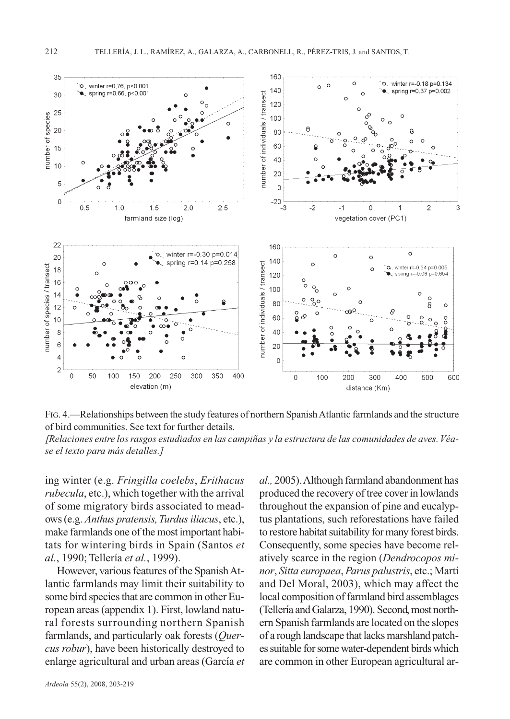

FIG. 4.—Relationships between the study features of northern Spanish Atlantic farmlands and the structure of bird communities. See text for further details.

*[Relaciones entre los rasgos estudiados en las campiñas y la estructura de las comunidades de aves. Véase el texto para más detalles.]*

ing winter (e.g. *Fringilla coelebs*, *Erithacus rubecula*, etc.), which together with the arrival of some migratory birds associated to meadows (e.g. *Anthus pratensis, Turdus iliacus*, etc.), make farmlands one of the most important habitats for wintering birds in Spain (Santos *et al.*, 1990; Tellería *et al.*, 1999).

However, various features of the Spanish Atlantic farmlands may limit their suitability to some bird species that are common in other European areas (appendix 1). First, lowland natural forests surrounding northern Spanish farmlands, and particularly oak forests (*Quercus robur*), have been historically destroyed to enlarge agricultural and urban areas (García *et*

produced the recovery of tree cover in lowlands throughout the expansion of pine and eucalyptus plantations, such reforestations have failed to restore habitat suitability for many forest birds. Consequently, some species have become relatively scarce in the region (*Dendrocopos minor*, *Sitta europaea*, *Parus palustris*, etc.; Martí and Del Moral, 2003), which may affect the local composition of farmland bird assemblages (Tellería and Galarza, 1990). Second, most northern Spanish farmlands are located on the slopes of a rough landscape that lacks marshland patches suitable for some water-dependent birds which are common in other European agricultural ar-

*al.,* 2005). Although farmland abandonment has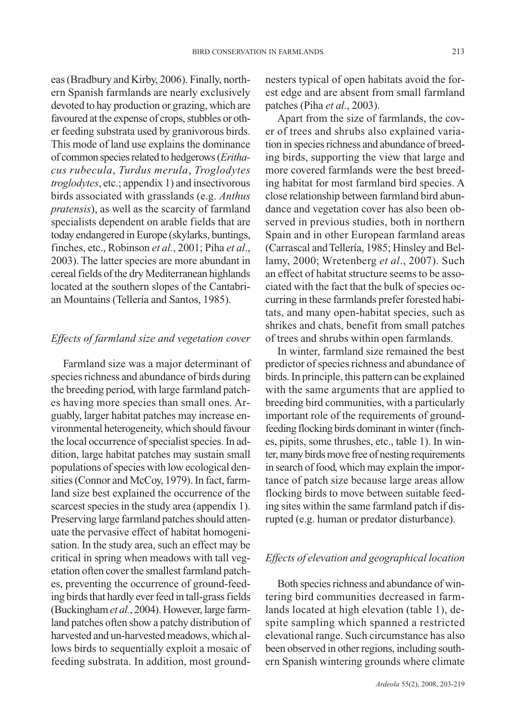eas (Bradbury and Kirby, 2006). Finally, northern Spanish farmlands are nearly exclusively devoted to hay production or grazing, which are favoured at the expense of crops, stubbles or other feeding substrata used by granivorous birds. This mode of land use explains the dominance of common species related to hedgerows (*Erithacus rubecula*, *Turdus merula*, *Troglodytes troglodytes*, etc.; appendix 1) and insectivorous birds associated with grasslands (e.g. *Anthus pratensis*), as well as the scarcity of farmland specialists dependent on arable fields that are today endangered in Europe (skylarks, buntings, finches, etc., Robinson *et al.*, 2001; Piha *et al*., 2003). The latter species are more abundant in cereal fields of the dry Mediterranean highlands located at the southern slopes of the Cantabrian Mountains (Tellería and Santos, 1985).

## *Effects of farmland size and vegetation cover*

Farmland size was a major determinant of species richness and abundance of birds during the breeding period, with large farmland patches having more species than small ones. Arguably, larger habitat patches may increase environmental heterogeneity, which should favour the local occurrence of specialist species. In addition, large habitat patches may sustain small populations of species with low ecological densities (Connor and McCoy, 1979). In fact, farmland size best explained the occurrence of the scarcest species in the study area (appendix 1). Preserving large farmland patches should attenuate the pervasive effect of habitat homogenisation. In the study area, such an effect may be critical in spring when meadows with tall vegetation often cover the smallest farmland patches, preventing the occurrence of ground-feeding birds that hardly ever feed in tall-grass fields (Buckingham *et al.*, 2004). However, large farmland patches often show a patchy distribution of harvested and un-harvested meadows, which allows birds to sequentially exploit a mosaic of feeding substrata. In addition, most groundnesters typical of open habitats avoid the forest edge and are absent from small farmland patches (Piha *et al*., 2003).

Apart from the size of farmlands, the cover of trees and shrubs also explained variation in species richness and abundance of breeding birds, supporting the view that large and more covered farmlands were the best breeding habitat for most farmland bird species. A close relationship between farmland bird abundance and vegetation cover has also been observed in previous studies, both in northern Spain and in other European farmland areas (Carrascal and Tellería, 1985; Hinsley and Bellamy, 2000; Wretenberg *et al*., 2007). Such an effect of habitat structure seems to be associated with the fact that the bulk of species occurring in these farmlands prefer forested habitats, and many open-habitat species, such as shrikes and chats, benefit from small patches of trees and shrubs within open farmlands.

In winter, farmland size remained the best predictor of species richness and abundance of birds. In principle, this pattern can be explained with the same arguments that are applied to breeding bird communities, with a particularly important role of the requirements of groundfeeding flocking birds dominant in winter (finches, pipits, some thrushes, etc., table 1). In winter, many birds move free of nesting requirements in search of food, which may explain the importance of patch size because large areas allow flocking birds to move between suitable feeding sites within the same farmland patch if disrupted (e.g. human or predator disturbance).

# *Effects of elevation and geographical location*

Both species richness and abundance of wintering bird communities decreased in farmlands located at high elevation (table 1), despite sampling which spanned a restricted elevational range. Such circumstance has also been observed in other regions, including southern Spanish wintering grounds where climate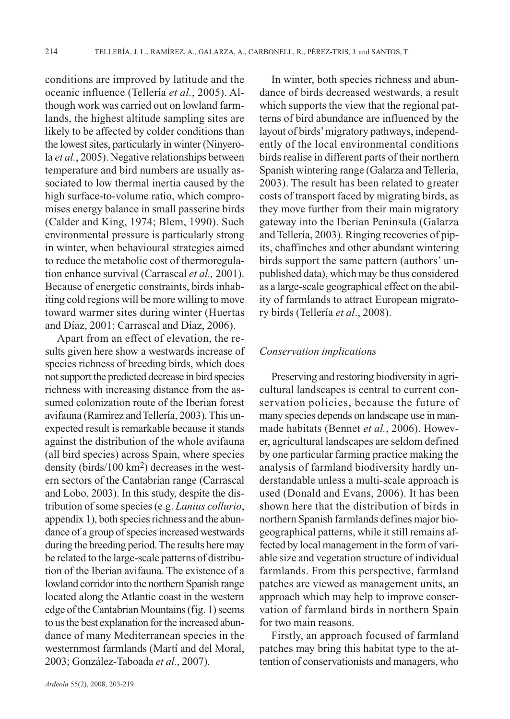conditions are improved by latitude and the oceanic influence (Tellería *et al.*, 2005). Although work was carried out on lowland farmlands, the highest altitude sampling sites are likely to be affected by colder conditions than the lowest sites, particularly in winter (Ninyerola *et al.*, 2005). Negative relationships between temperature and bird numbers are usually associated to low thermal inertia caused by the high surface-to-volume ratio, which compromises energy balance in small passerine birds (Calder and King, 1974; Blem, 1990). Such environmental pressure is particularly strong in winter, when behavioural strategies aimed to reduce the metabolic cost of thermoregulation enhance survival (Carrascal *et al.,* 2001). Because of energetic constraints, birds inhabiting cold regions will be more willing to move toward warmer sites during winter (Huertas and Díaz, 2001; Carrascal and Díaz, 2006).

Apart from an effect of elevation, the results given here show a westwards increase of species richness of breeding birds, which does not support the predicted decrease in bird species richness with increasing distance from the assumed colonization route of the Iberian forest avifauna (Ramírez and Tellería, 2003). This unexpected result is remarkable because it stands against the distribution of the whole avifauna (all bird species) across Spain, where species density (birds/100 km2) decreases in the western sectors of the Cantabrian range (Carrascal and Lobo, 2003). In this study, despite the distribution of some species (e.g. *Lanius collurio*, appendix 1), both species richness and the abundance of a group of species increased westwards during the breeding period. The results here may be related to the large-scale patterns of distribution of the Iberian avifauna. The existence of a lowland corridor into the northern Spanish range located along the Atlantic coast in the western edge of the Cantabrian Mountains (fig. 1) seems to us the best explanation for the increased abundance of many Mediterranean species in the westernmost farmlands (Martí and del Moral, 2003; González-Taboada *et al.*, 2007).

In winter, both species richness and abundance of birds decreased westwards, a result which supports the view that the regional patterns of bird abundance are influenced by the layout of birds'migratory pathways, independently of the local environmental conditions birds realise in different parts of their northern Spanish wintering range (Galarza and Tellería, 2003). The result has been related to greater costs of transport faced by migrating birds, as they move further from their main migratory gateway into the Iberian Peninsula (Galarza and Tellería, 2003). Ringing recoveries of pipits, chaffinches and other abundant wintering birds support the same pattern (authors' unpublished data), which may be thus considered as a large-scale geographical effect on the ability of farmlands to attract European migratory birds (Tellería *et al*., 2008).

## *Conservation implications*

Preserving and restoring biodiversity in agricultural landscapes is central to current conservation policies, because the future of many species depends on landscape use in manmade habitats (Bennet *et al.*, 2006). However, agricultural landscapes are seldom defined by one particular farming practice making the analysis of farmland biodiversity hardly understandable unless a multi-scale approach is used (Donald and Evans, 2006). It has been shown here that the distribution of birds in northern Spanish farmlands defines major biogeographical patterns, while it still remains affected by local management in the form of variable size and vegetation structure of individual farmlands. From this perspective, farmland patches are viewed as management units, an approach which may help to improve conservation of farmland birds in northern Spain for two main reasons.

Firstly, an approach focused of farmland patches may bring this habitat type to the attention of conservationists and managers, who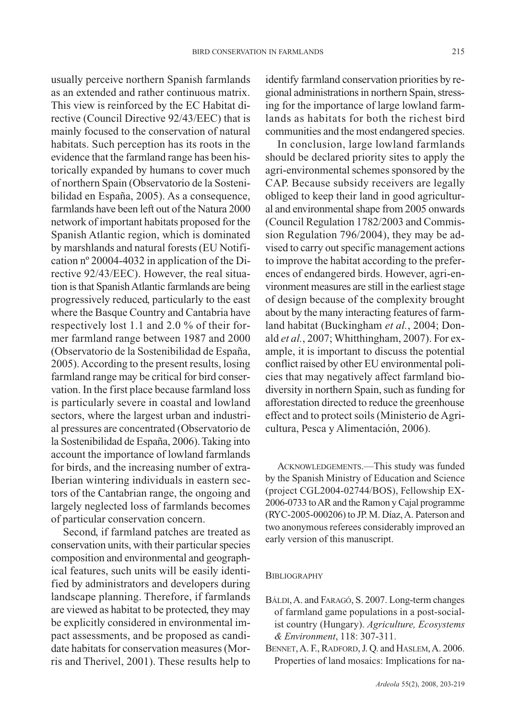usually perceive northern Spanish farmlands as an extended and rather continuous matrix. This view is reinforced by the EC Habitat directive (Council Directive 92/43/EEC) that is mainly focused to the conservation of natural habitats. Such perception has its roots in the evidence that the farmland range has been historically expanded by humans to cover much of northern Spain (Observatorio de la Sostenibilidad en España, 2005). As a consequence, farmlands have been left out of the Natura 2000 network of important habitats proposed for the Spanish Atlantic region, which is dominated by marshlands and natural forests (EU Notification nº 20004-4032 in application of the Directive 92/43/EEC). However, the real situation is that Spanish Atlantic farmlands are being progressively reduced, particularly to the east where the Basque Country and Cantabria have respectively lost 1.1 and 2.0 % of their former farmland range between 1987 and 2000 (Observatorio de la Sostenibilidad de España, 2005). According to the present results, losing farmland range may be critical for bird conservation. In the first place because farmland loss is particularly severe in coastal and lowland sectors, where the largest urban and industrial pressures are concentrated (Observatorio de la Sostenibilidad de España, 2006). Taking into account the importance of lowland farmlands for birds, and the increasing number of extra-Iberian wintering individuals in eastern sectors of the Cantabrian range, the ongoing and largely neglected loss of farmlands becomes of particular conservation concern.

Second, if farmland patches are treated as conservation units, with their particular species composition and environmental and geographical features, such units will be easily identified by administrators and developers during landscape planning. Therefore, if farmlands are viewed as habitat to be protected, they may be explicitly considered in environmental impact assessments, and be proposed as candidate habitats for conservation measures (Morris and Therivel, 2001). These results help to identify farmland conservation priorities by regional administrations in northern Spain, stressing for the importance of large lowland farmlands as habitats for both the richest bird communities and the most endangered species.

In conclusion, large lowland farmlands should be declared priority sites to apply the agri-environmental schemes sponsored by the CAP. Because subsidy receivers are legally obliged to keep their land in good agricultural and environmental shape from 2005 onwards (Council Regulation 1782/2003 and Commission Regulation 796/2004), they may be advised to carry out specific management actions to improve the habitat according to the preferences of endangered birds. However, agri-environment measures are still in the earliest stage of design because of the complexity brought about by the many interacting features of farmland habitat (Buckingham *et al.*, 2004; Donald *et al.*, 2007; Whitthingham, 2007). For example, it is important to discuss the potential conflict raised by other EU environmental policies that may negatively affect farmland biodiversity in northern Spain, such as funding for afforestation directed to reduce the greenhouse effect and to protect soils (Ministerio de Agricultura, Pesca y Alimentación, 2006).

ACKNOWLEDGEMENTS.—This study was funded by the Spanish Ministry of Education and Science (project CGL2004-02744/BOS), Fellowship EX-2006-0733 to AR and the Ramon y Cajal programme (RYC-2005-000206) to JP. M. Díaz, A. Paterson and two anonymous referees considerably improved an early version of this manuscript.

## **BIBLIOGRAPHY**

- BÁLDI,A. and FARAGÓ, S. 2007. Long-term changes of farmland game populations in a post-socialist country (Hungary). *Agriculture, Ecosystems & Environment*, 118: 307-311.
- BENNET, A. F., RADFORD, J. Q. and HASLEM, A. 2006. Properties of land mosaics: Implications for na-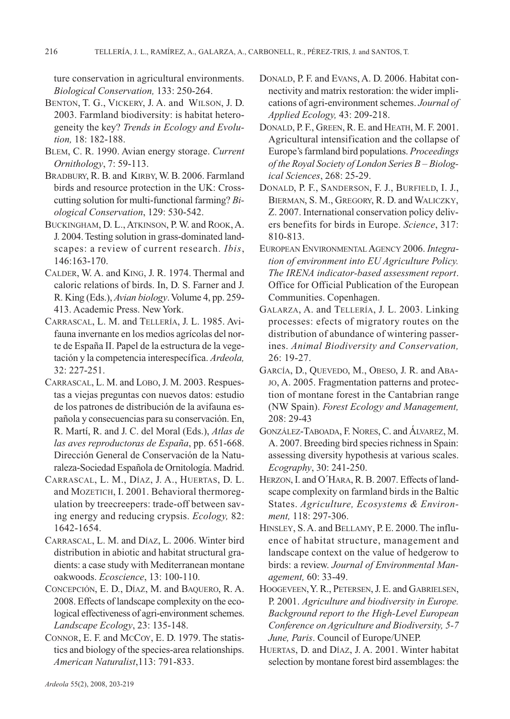ture conservation in agricultural environments. *Biological Conservation,* 133: 250-264.

- BENTON, T. G., VICKERY, J. A. and WILSON, J. D. 2003. Farmland biodiversity: is habitat heterogeneity the key? *Trends in Ecology and Evolution,* 18: 182-188.
- BLEM, C. R. 1990. Avian energy storage. *Current Ornithology*, 7: 59-113.
- BRADBURY, R. B. and KIRBY, W. B. 2006. Farmland birds and resource protection in the UK: Crosscutting solution for multi-functional farming? *Biological Conservation*, 129: 530-542.
- BUCKINGHAM, D. L., ATKINSON, P. W. and ROOK,A. J. 2004. Testing solution in grass-dominated landscapes: a review of current research. *Ibis*, 146:163-170.
- CALDER, W. A. and KING, J. R. 1974. Thermal and caloric relations of birds. In, D. S. Farner and J. R. King (Eds.), *Avian biology*.Volume 4, pp. 259- 413. Academic Press. New York.
- CARRASCAL, L. M. and TELLERÍA, J. L. 1985. Avifauna invernante en los medios agrícolas del norte de España II. Papel de la estructura de la vegetación y la competencia interespecífica. *Ardeola,* 32: 227-251.
- CARRASCAL, L. M. and LOBO,J. M. 2003. Respuestas a viejas preguntas con nuevos datos: estudio de los patrones de distribución de la avifauna española y consecuencias para su conservación. En, R. Martí, R. and J. C. del Moral (Eds.), *Atlas de las aves reproductoras de España*, pp. 651-668. Dirección General de Conservación de la Naturaleza-Sociedad Española de Ornitología. Madrid.
- CARRASCAL, L. M., DÍAZ, J. A., HUERTAS, D. L. and MOZETICH, I. 2001. Behavioral thermoregulation by treecreepers: trade-off between saving energy and reducing crypsis. *Ecology,* 82: 1642-1654.
- CARRASCAL, L. M. and DÍAZ, L. 2006. Winter bird distribution in abiotic and habitat structural gradients: a case study with Mediterranean montane oakwoods. *Ecoscience*, 13: 100-110.
- CONCEPCIÓN, E. D., DÍAZ, M. and BAQUERO, R. A. 2008. Effects of landscape complexity on the ecological effectiveness of agri-environment schemes. *Landscape Ecology*, 23: 135-148.
- CONNOR, E. F. and MCCOY, E. D. 1979. The statistics and biology of the species-area relationships. *American Naturalist*,113: 791-833.
- DONALD, P. F. and EVANS, A. D. 2006. Habitat connectivity and matrix restoration: the wider implications of agri-environment schemes. *Journal of Applied Ecology,* 43: 209-218.
- DONALD, P. F., GREEN, R. E. and HEATH, M. F. 2001. Agricultural intensification and the collapse of Europe's farmland bird populations. *Proceedings of the Royal Society of London Series B – Biological Sciences*, 268: 25-29.
- DONALD, P. F., SANDERSON, F. J., BURFIELD, I. J., BIERMAN, S. M., GREGORY, R. D. and WALICZKY, Z. 2007. International conservation policy delivers benefits for birds in Europe. *Science*, 317: 810-813.
- EUROPEAN ENVIRONMENTAL AGENCY 2006. Integra*tion of environment into EU Agriculture Policy. The IRENA indicator-based assessment report*. Office for Official Publication of the European Communities. Copenhagen.
- GALARZA, A. and TELLERÍA, J. L. 2003. Linking processes: efects of migratory routes on the distribution of abundance of wintering passerines. *Animal Biodiversity and Conservation,* 26: 19-27.
- GARCÍA, D., QUEVEDO, M., OBESO, J. R. and ABA-JO, A. 2005. Fragmentation patterns and protection of montane forest in the Cantabrian range (NW Spain). *Forest Ecology and Management,* 208: 29-43
- GONZÁLEZ-TABOADA, F. NORES, C. and ÁLVAREZ, M. A. 2007. Breeding bird species richness in Spain: assessing diversity hypothesis at various scales. *Ecography*, 30: 241-250.
- HERZON, I. and O´HARA, R. B. 2007. Effects of landscape complexity on farmland birds in the Baltic States. *Agriculture, Ecosystems & Environment,* 118: 297-306.
- HINSLEY, S. A. and BELLAMY, P. E. 2000. The influence of habitat structure, management and landscape context on the value of hedgerow to birds: a review. *Journal of Environmental Management,* 60: 33-49.
- HOOGEVEEN,Y. R., PETERSEN,J. E. and GABRIELSEN, P. 2001. *Agriculture and biodiversity in Europe. Background report to the High-Level European Conference on Agriculture and Biodiversity, 5-7 June, Paris*. Council of Europe/UNEP.
- HUERTAS, D. and DÍAZ, J. A. 2001. Winter habitat selection by montane forest bird assemblages: the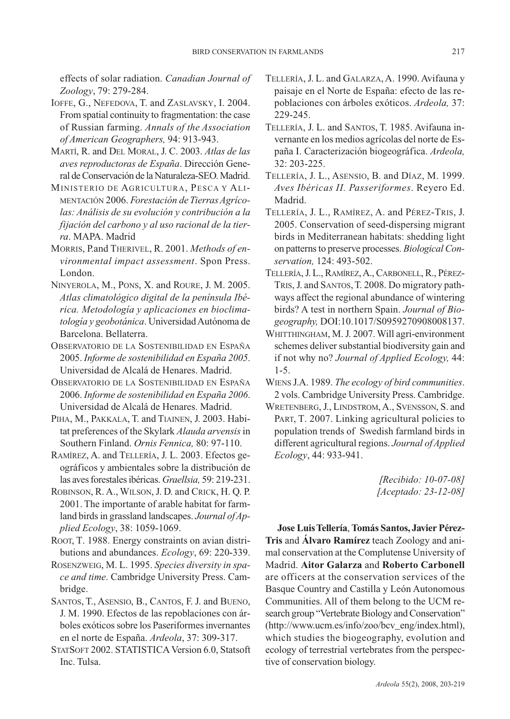effects of solar radiation. *Canadian Journal of Zoology*, 79: 279-284.

- IOFFE, G., NEFEDOVA, T. and ZASLAVSKY, I. 2004. From spatial continuity to fragmentation: the case of Russian farming. *Annals of the Association of American Geographers,* 94: 913-943.
- MARTÍ, R. and DEL MORAL, J. C. 2003. *Atlas de las aves reproductoras de España*. Dirección General de Conservación de la Naturaleza-SEO. Madrid.
- MINISTERIO DE AGRICULTURA, PESCA Y ALI-MENTACIÓN 2006. *Forestación de Tierras Agrícolas: Análisis de su evolución y contribución a la fijación del carbono y al uso racional de la tierra*. MAPA. Madrid
- MORRIS, P.and THERIVEL, R. 2001. *Methods of environmental impact assessment*. Spon Press. London.
- NINYEROLA, M., PONS, X. and ROURE, J. M. 2005. *Atlas climatológico digital de la península Ibérica. Metodología y aplicaciones en bioclimatología y geobotánica*. Universidad Autónoma de Barcelona. Bellaterra.
- OBSERVATORIO DE LA SOSTENIBILIDAD EN ESPAÑA 2005. *Informe de sostenibilidad en España 2005*. Universidad de Alcalá de Henares. Madrid.
- OBSERVATORIO DE LA SOSTENIBILIDAD EN ESPAÑA 2006. *Informe de sostenibilidad en España 2006*. Universidad de Alcalá de Henares. Madrid.
- PIHA, M., PAKKALA, T. and TIAINEN, J. 2003. Habitat preferences of the Skylark *Alauda arvensis*in Southern Finland. *Ornis Fennica,* 80: 97-110.
- RAMÍREZ, A. and TELLERÍA, J. L. 2003. Efectos geográficos y ambientales sobre la distribución de las aves forestales ibéricas. *Graellsia,* 59: 219-231.
- ROBINSON, R. A., WILSON, J. D. and CRICK, H. Q. P. 2001. The importante of arable habitat for farmland birds in grassland landscapes. *Journal of Applied Ecology*, 38: 1059-1069.
- ROOT, T. 1988. Energy constraints on avian distributions and abundances. *Ecology*, 69: 220-339.
- ROSENZWEIG, M. L. 1995. *Species diversity in space and time*. Cambridge University Press. Cambridge.
- SANTOS, T., ASENSIO, B., CANTOS, F. J. and BUENO, J. M. 1990. Efectos de las repoblaciones con árboles exóticos sobre los Paseriformes invernantes en el norte de España. *Ardeola*, 37: 309-317.
- STATSOFT 2002. STATISTICA Version 6.0, Statsoft Inc. Tulsa.
- TELLERÍA, J. L. and GALARZA, A. 1990. Avifauna y paisaje en el Norte de España: efecto de las repoblaciones con árboles exóticos. *Ardeola,* 37: 229-245.
- TELLERÍA, J. L. and SANTOS, T. 1985. Avifauna invernante en los medios agrícolas del norte de España I. Caracterización biogeográfica. *Ardeola,* 32: 203-225.
- TELLERÍA, J. L., ASENSIO, B. and DÍAZ, M. 1999. *Aves Ibéricas II. Passeriformes*. Reyero Ed. Madrid.
- TELLERÍA, J. L., RAMÍREZ, A. and PÉREZ-TRIS, J. 2005. Conservation of seed-dispersing migrant birds in Mediterranean habitats: shedding light on patterns to preserve processes. *Biological Conservation,* 124: 493-502.
- TELLERÍA,J. L., RAMÍREZ,A., CARBONELL,R., PÉREZ-TRIS,J. and SANTOS,T. 2008. Do migratory pathways affect the regional abundance of wintering birds? A test in northern Spain. *Journal of Biogeography,* DOI:10.1017/S0959270908008137.
- WHITTHINGHAM, M. J. 2007. Will agri-environment schemes deliver substantial biodiversity gain and if not why no? *Journal of Applied Ecology,* 44: 1-5.
- WIENS J.A. 1989. *The ecology of bird communities*. 2 vols. Cambridge University Press. Cambridge.
- WRETENBERG, J., LINDSTROM, A., SVENSSON, S. and PART, T. 2007. Linking agricultural policies to population trends of Swedish farmland birds in different agricultural regions. *Journal of Applied Ecology*, 44: 933-941.

*[Recibido: 10-07-08] [Aceptado: 23-12-08]*

**Jose Luis Tellería**, **Tomás Santos, Javier Pérez-Tris** and **Álvaro Ramírez** teach Zoology and animal conservation at the Complutense University of Madrid. **Aitor Galarza** and **Roberto Carbonell** are officers at the conservation services of the Basque Country and Castilla y León Autonomous Communities. All of them belong to the UCM research group "Vertebrate Biology and Conservation" (http://www.ucm.es/info/zoo/bcv\_eng/index.html), which studies the biogeography, evolution and ecology of terrestrial vertebrates from the perspective of conservation biology.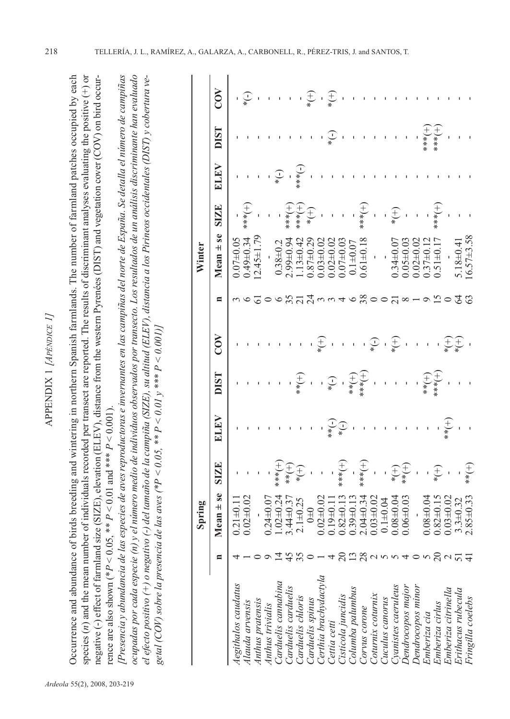Occurrence and abu ndance of birds breeding and wintering in northern Spanish farmlands. T he n u mber of farmland patches occupied by each species (*n*) and the mean n u mber of individuals recorded per transect are reported. T he results of discriminant analyses evaluating the positive (+) or negative (-) effect of farmland size (SIZ E), elevation (E L E V), distance from the western  $\mathsf{P}$ yrenées (DIST) and vegetation cover (C OV) on bird occurrence are also show n (\**P* < $<$  0.05,  $*$  *P* V  $< 0.01$  and \*\*\*  $P$  $< 0.001$ ).

lPresencia y abundancia de las especies de aves reproductoras e invernantes en las campiñas del norte de España. Se detalla el número de campiñas ocupadas por cada especie (n) y el número medio de individuos observados por transecto. Los resultados de un análisis discriminante han evaluado [Presencia y abundancia de las especies de aves reproductoras e invernantes en las campiñas del norte de España. Se detalla el número de campiñas *El efecto positivo (+) o negativo (-) del tamaño de la campiña (SIZE), su altitud (ELEV), distancia a los Pirineos occidentales (DIST) y cobertura ve*ocupadas por cada especie (n) y el número medio de individuos observados por transecto. Los resultados de un análisis discriminante han evaluado *T) y cobertura ve-V), distancia a los Pirineos occidentales (DIS < 0.001)] el efecto positivo (+) o negativo (-) del tamaño de la campiña (SIZE), su altitud (EL*  $<$  0.01  $y$  \*\*\* *P <* $< 0.05, **P$ *<V) sobre la presencia de las aves (\*P getal (C O*

|                                      |                                                                                          | Spring          |                                                        |                                                                                                                               |                                                                                                                                                                                                                                                                                                           |                            |                                                             | Winter          |                                                                 |                                                                                                                                                                                                                                                                                                                     |                                        |                                     |
|--------------------------------------|------------------------------------------------------------------------------------------|-----------------|--------------------------------------------------------|-------------------------------------------------------------------------------------------------------------------------------|-----------------------------------------------------------------------------------------------------------------------------------------------------------------------------------------------------------------------------------------------------------------------------------------------------------|----------------------------|-------------------------------------------------------------|-----------------|-----------------------------------------------------------------|---------------------------------------------------------------------------------------------------------------------------------------------------------------------------------------------------------------------------------------------------------------------------------------------------------------------|----------------------------------------|-------------------------------------|
|                                      | $\blacksquare$                                                                           | Mean $\pm$ se   | <b>SIZE</b>                                            | <b>AHTE</b>                                                                                                                   | <b>LSIQ</b>                                                                                                                                                                                                                                                                                               | $\rm \widetilde{S}$        | E                                                           | $Mean + se$     | <b>SIZE</b>                                                     | ELEV                                                                                                                                                                                                                                                                                                                | <b>DIST</b>                            | COV                                 |
| Aegithalos caudatus                  |                                                                                          | $0.21 \pm 0.1$  |                                                        |                                                                                                                               |                                                                                                                                                                                                                                                                                                           |                            |                                                             | $0.07 + 0.05$   |                                                                 |                                                                                                                                                                                                                                                                                                                     |                                        |                                     |
| Ilauda arvensis                      |                                                                                          |                 |                                                        |                                                                                                                               |                                                                                                                                                                                                                                                                                                           |                            |                                                             | $0.49 \pm 0.34$ | $-1$<br>***                                                     |                                                                                                                                                                                                                                                                                                                     |                                        | $\sum_{\ast}$                       |
|                                      |                                                                                          |                 |                                                        |                                                                                                                               |                                                                                                                                                                                                                                                                                                           |                            |                                                             | $2.45 \pm 1$    |                                                                 |                                                                                                                                                                                                                                                                                                                     |                                        |                                     |
| Anthus pratensis<br>Anthus trivialis |                                                                                          | $0.24 \pm 0.0$  | $+\qquad 1 \qquad +$<br>$\frac{2}{3}$<br>$\frac{2}{3}$ |                                                                                                                               |                                                                                                                                                                                                                                                                                                           |                            |                                                             |                 | í                                                               |                                                                                                                                                                                                                                                                                                                     |                                        |                                     |
| Carduelis cannabina                  |                                                                                          | $1.02 + 0.2$    |                                                        |                                                                                                                               |                                                                                                                                                                                                                                                                                                           |                            |                                                             | $0.38 + 0.2$    |                                                                 | $\overbrace{ \cdot }^*$                                                                                                                                                                                                                                                                                             |                                        |                                     |
| Carduelis carduelis                  |                                                                                          | $3.44 \pm 0.3$  |                                                        |                                                                                                                               |                                                                                                                                                                                                                                                                                                           |                            |                                                             | $2.99 + 0.94$   |                                                                 |                                                                                                                                                                                                                                                                                                                     | $\Gamma = \Gamma = 1$                  |                                     |
| Carduelis chloris                    | 148                                                                                      | $2.1 + 0.25$    | $\div \left( + \atop{+} \right)$                       |                                                                                                                               | $\bigoplus_{*}$                                                                                                                                                                                                                                                                                           |                            | 3739940                                                     | $1.13 \pm 0.42$ |                                                                 | $\frac{1}{1}$ $\frac{1}{1}$ $\frac{1}{1}$ $\frac{1}{1}$ $\frac{1}{1}$ $\frac{1}{1}$ $\frac{1}{1}$ $\frac{1}{1}$ $\frac{1}{1}$ $\frac{1}{1}$ $\frac{1}{1}$ $\frac{1}{1}$ $\frac{1}{1}$ $\frac{1}{1}$ $\frac{1}{1}$ $\frac{1}{1}$ $\frac{1}{1}$ $\frac{1}{1}$ $\frac{1}{1}$ $\frac{1}{1}$ $\frac{1}{1}$ $\frac{1}{1}$ |                                        |                                     |
| Carduelis spinus                     |                                                                                          | $0\pm 0$        | $\overline{\phantom{a}}$                               | $\mathbf{I}$                                                                                                                  | $\overline{1}$                                                                                                                                                                                                                                                                                            |                            |                                                             | $0.87 \pm 0.29$ |                                                                 |                                                                                                                                                                                                                                                                                                                     | ı                                      | $\overset{+}{\underset{*}{\smile}}$ |
| Certhia brachydactyla                |                                                                                          | $0.02 + 0.02$   |                                                        |                                                                                                                               |                                                                                                                                                                                                                                                                                                           | $\widehat{t}$              |                                                             | $0.03 + 0.02$   | $\overline{1}$                                                  | $\mathbf{I}$                                                                                                                                                                                                                                                                                                        | I,                                     |                                     |
| Cettia cetti                         |                                                                                          | $0.19 + 0.1$    |                                                        |                                                                                                                               |                                                                                                                                                                                                                                                                                                           |                            |                                                             | $0.02 \pm 0.02$ | ł                                                               |                                                                                                                                                                                                                                                                                                                     | $\begin{pmatrix} - \\ + \end{pmatrix}$ | $\widehat{t}$                       |
| Cisticola juncidis                   | $\Omega$                                                                                 | $0.82 \pm 0.1$  | $rac{+}{1}$                                            | $\begin{array}{c}\n\begin{array}{c}\n\bullet \\ \bullet \\ \bullet \\ \bullet \\ \bullet\n\end{array}\n\end{array}$           | $\frac{1}{1}$ + $\frac{1}{1}$ + $\frac{1}{1}$ + $\frac{1}{1}$ + $\frac{1}{1}$ + $\frac{1}{1}$ + $\frac{1}{1}$ + $\frac{1}{1}$ + $\frac{1}{1}$ + $\frac{1}{1}$ + $\frac{1}{1}$ + $\frac{1}{1}$ + $\frac{1}{1}$ + $\frac{1}{1}$ + $\frac{1}{1}$ + $\frac{1}{1}$ + $\frac{1}{1}$ + $\frac{1}{1}$ + $\frac{1$ |                            |                                                             | $0.07 \pm 0.03$ | $\begin{array}{c}\n+ \\ + \\ \ast \\ \ast \\ \ast\n\end{array}$ |                                                                                                                                                                                                                                                                                                                     | I                                      |                                     |
| Columba palumbus                     |                                                                                          | $0.39 \pm 0.11$ |                                                        |                                                                                                                               |                                                                                                                                                                                                                                                                                                           |                            |                                                             | $0.1 + 0.07$    |                                                                 |                                                                                                                                                                                                                                                                                                                     | $\mathbf{I}$                           |                                     |
| Corvus corone                        |                                                                                          | $2.04 \pm 0.34$ | $+\frac{+}{*}$                                         | $\bar{\beta}$                                                                                                                 |                                                                                                                                                                                                                                                                                                           |                            | 38                                                          | $0.61 \pm 0.18$ |                                                                 |                                                                                                                                                                                                                                                                                                                     | ı                                      |                                     |
| Coturnix coturnix                    | $\mathbb{Z} \otimes \mathbb{Q} \otimes \mathbb{Q} \otimes \mathbb{Q} \otimes \mathbb{Q}$ | $0.03 + 0.02$   | j                                                      | $\mathbf{r}^{\pm}$                                                                                                            |                                                                                                                                                                                                                                                                                                           | $\bigodot_*$               |                                                             | $\overline{1}$  | $\overline{1}$                                                  |                                                                                                                                                                                                                                                                                                                     | ı                                      |                                     |
| Cuculus canorus                      |                                                                                          | $0.1 + 0.04$    |                                                        | f,                                                                                                                            |                                                                                                                                                                                                                                                                                                           | $\mathbf{r}$               |                                                             |                 |                                                                 |                                                                                                                                                                                                                                                                                                                     |                                        |                                     |
| Cyanistes caeruleus                  |                                                                                          | $0.08 + 0.04$   |                                                        | $\begin{array}{cccccccccc} & & & & & & & \widehat{+} & & & \\ & & & & & & & & \widehat{+} & & \\ & & & & & & & & \end{array}$ |                                                                                                                                                                                                                                                                                                           | $\bigoplus_{\ast}$         | $\circ$ $\circ$ $\stackrel{?}{\sim}$ $\circ$ $\sim$ $\circ$ | $0.34 \pm 0.07$ | $\frac{1}{\ast}$                                                |                                                                                                                                                                                                                                                                                                                     |                                        |                                     |
| Dendrocopos major                    |                                                                                          | $0.06 \pm 0.03$ | $\widehat{+\,\,\stackrel{\leftrightarrow}{+}\,}$       |                                                                                                                               |                                                                                                                                                                                                                                                                                                           |                            |                                                             | $0.05 \pm 0.03$ |                                                                 |                                                                                                                                                                                                                                                                                                                     | $\mathbf I$                            |                                     |
| Dendrocopos minor                    |                                                                                          |                 | $\overline{\phantom{a}}$                               |                                                                                                                               |                                                                                                                                                                                                                                                                                                           |                            |                                                             | $0.02 \pm 0.01$ |                                                                 |                                                                                                                                                                                                                                                                                                                     |                                        |                                     |
| Emberiza cia                         |                                                                                          | $0.08 + 0.04$   | $\mathbf{I}$                                           |                                                                                                                               |                                                                                                                                                                                                                                                                                                           |                            |                                                             | $0.37 + 0.$     |                                                                 |                                                                                                                                                                                                                                                                                                                     |                                        |                                     |
| Emberiza cirlus                      |                                                                                          | $0.82 \pm 0.15$ | $\bigoplus_{\ast}$                                     |                                                                                                                               |                                                                                                                                                                                                                                                                                                           |                            | $\bar{z}$                                                   | $0.51 \pm 0.1$  | $+\frac{1}{2}$                                                  |                                                                                                                                                                                                                                                                                                                     | $(+)$                                  |                                     |
| Emberiza citrinella                  |                                                                                          | $0.03 + 0.02$   |                                                        |                                                                                                                               |                                                                                                                                                                                                                                                                                                           |                            |                                                             |                 |                                                                 |                                                                                                                                                                                                                                                                                                                     | $\overline{\phantom{a}}$               |                                     |
| Erithacus rubecula                   | $\sim 24$                                                                                | $3.3 + 0.32$    | $\hat{\mathbf{r}}$                                     |                                                                                                                               | $1 \quad 1 \quad 1 \quad 1 \quad \frac{1}{\frac{1}{2}} \quad \frac{1}{\frac{1}{2}} \quad 1 \quad 1$                                                                                                                                                                                                       | $\widehat{f}(\widehat{f})$ | 64                                                          | $5.18 + 0.4$    |                                                                 |                                                                                                                                                                                                                                                                                                                     |                                        |                                     |
| Fringilla coelebs                    |                                                                                          | $2.85 \pm 0.33$ | $\bigoplus_*^*$                                        |                                                                                                                               |                                                                                                                                                                                                                                                                                                           |                            | 63                                                          | $6.57 + 3.58$   |                                                                 |                                                                                                                                                                                                                                                                                                                     |                                        |                                     |